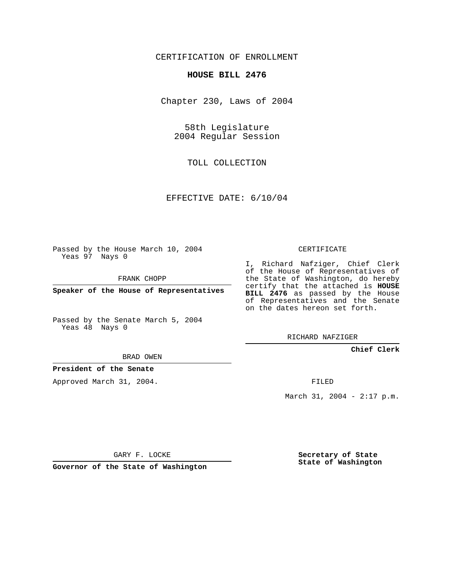## CERTIFICATION OF ENROLLMENT

#### **HOUSE BILL 2476**

Chapter 230, Laws of 2004

58th Legislature 2004 Regular Session

TOLL COLLECTION

EFFECTIVE DATE: 6/10/04

Passed by the House March 10, 2004 Yeas 97 Nays 0

FRANK CHOPP

**Speaker of the House of Representatives**

Passed by the Senate March 5, 2004 Yeas 48 Nays 0

#### BRAD OWEN

#### **President of the Senate**

Approved March 31, 2004.

CERTIFICATE

I, Richard Nafziger, Chief Clerk of the House of Representatives of the State of Washington, do hereby certify that the attached is **HOUSE BILL 2476** as passed by the House of Representatives and the Senate on the dates hereon set forth.

RICHARD NAFZIGER

**Chief Clerk**

FILED

March 31, 2004 - 2:17 p.m.

GARY F. LOCKE

**Governor of the State of Washington**

**Secretary of State State of Washington**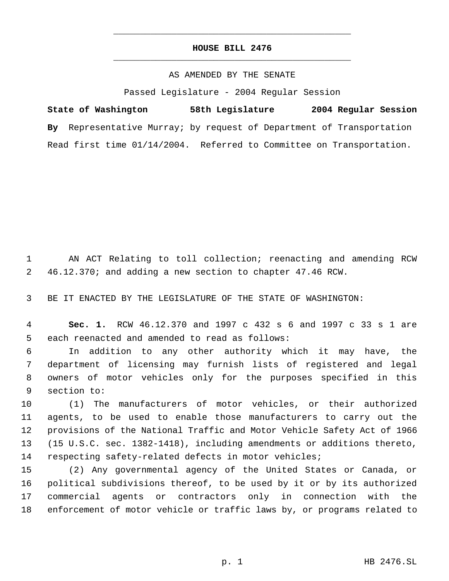# **HOUSE BILL 2476** \_\_\_\_\_\_\_\_\_\_\_\_\_\_\_\_\_\_\_\_\_\_\_\_\_\_\_\_\_\_\_\_\_\_\_\_\_\_\_\_\_\_\_\_\_

\_\_\_\_\_\_\_\_\_\_\_\_\_\_\_\_\_\_\_\_\_\_\_\_\_\_\_\_\_\_\_\_\_\_\_\_\_\_\_\_\_\_\_\_\_

### AS AMENDED BY THE SENATE

Passed Legislature - 2004 Regular Session

**State of Washington 58th Legislature 2004 Regular Session By** Representative Murray; by request of Department of Transportation Read first time 01/14/2004. Referred to Committee on Transportation.

 AN ACT Relating to toll collection; reenacting and amending RCW 46.12.370; and adding a new section to chapter 47.46 RCW.

BE IT ENACTED BY THE LEGISLATURE OF THE STATE OF WASHINGTON:

 **Sec. 1.** RCW 46.12.370 and 1997 c 432 s 6 and 1997 c 33 s 1 are each reenacted and amended to read as follows:

 In addition to any other authority which it may have, the department of licensing may furnish lists of registered and legal owners of motor vehicles only for the purposes specified in this section to:

 (1) The manufacturers of motor vehicles, or their authorized agents, to be used to enable those manufacturers to carry out the provisions of the National Traffic and Motor Vehicle Safety Act of 1966 (15 U.S.C. sec. 1382-1418), including amendments or additions thereto, respecting safety-related defects in motor vehicles;

 (2) Any governmental agency of the United States or Canada, or political subdivisions thereof, to be used by it or by its authorized commercial agents or contractors only in connection with the enforcement of motor vehicle or traffic laws by, or programs related to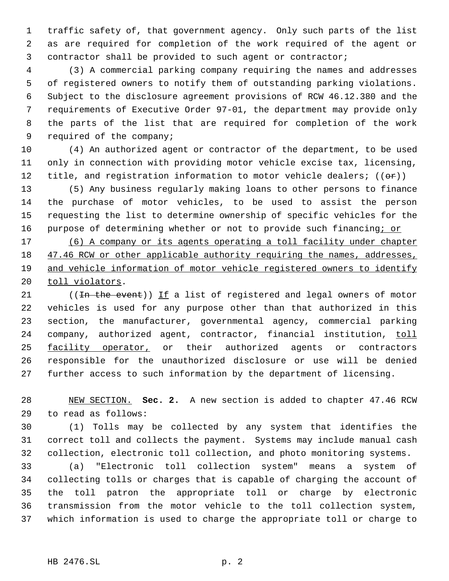traffic safety of, that government agency. Only such parts of the list as are required for completion of the work required of the agent or contractor shall be provided to such agent or contractor;

 (3) A commercial parking company requiring the names and addresses of registered owners to notify them of outstanding parking violations. Subject to the disclosure agreement provisions of RCW 46.12.380 and the requirements of Executive Order 97-01, the department may provide only the parts of the list that are required for completion of the work required of the company;

 (4) An authorized agent or contractor of the department, to be used only in connection with providing motor vehicle excise tax, licensing, 12 title, and registration information to motor vehicle dealers;  $((\theta \cdot \hat{r}))$ 

 (5) Any business regularly making loans to other persons to finance the purchase of motor vehicles, to be used to assist the person requesting the list to determine ownership of specific vehicles for the 16 purpose of determining whether or not to provide such financing; or

 (6) A company or its agents operating a toll facility under chapter 47.46 RCW or other applicable authority requiring the names, addresses, and vehicle information of motor vehicle registered owners to identify 20 toll violators.

21 ((<del>In the event</del>)) If a list of registered and legal owners of motor vehicles is used for any purpose other than that authorized in this section, the manufacturer, governmental agency, commercial parking 24 company, authorized agent, contractor, financial institution, toll facility operator, or their authorized agents or contractors responsible for the unauthorized disclosure or use will be denied further access to such information by the department of licensing.

 NEW SECTION. **Sec. 2.** A new section is added to chapter 47.46 RCW to read as follows:

 (1) Tolls may be collected by any system that identifies the correct toll and collects the payment. Systems may include manual cash collection, electronic toll collection, and photo monitoring systems.

 (a) "Electronic toll collection system" means a system of collecting tolls or charges that is capable of charging the account of the toll patron the appropriate toll or charge by electronic transmission from the motor vehicle to the toll collection system, which information is used to charge the appropriate toll or charge to